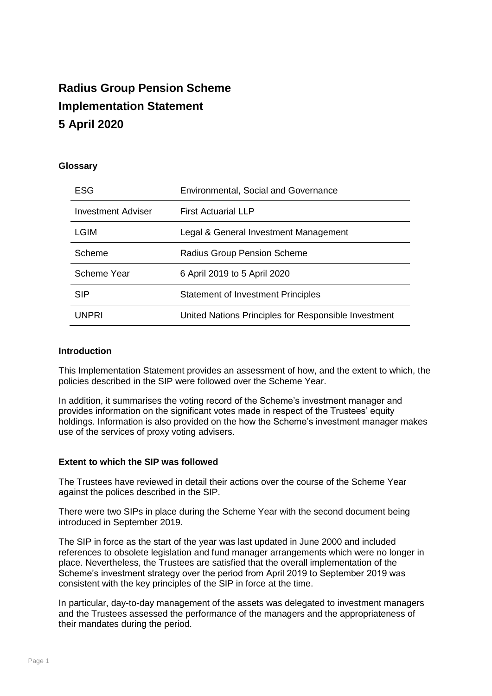# **Radius Group Pension Scheme Implementation Statement 5 April 2020**

# **Glossary**

| <b>ESG</b>                | <b>Environmental, Social and Governance</b>          |
|---------------------------|------------------------------------------------------|
| <b>Investment Adviser</b> | <b>First Actuarial LLP</b>                           |
| LGIM                      | Legal & General Investment Management                |
| Scheme                    | <b>Radius Group Pension Scheme</b>                   |
| Scheme Year               | 6 April 2019 to 5 April 2020                         |
| <b>SIP</b>                | <b>Statement of Investment Principles</b>            |
| UNPRI                     | United Nations Principles for Responsible Investment |

# **Introduction**

This Implementation Statement provides an assessment of how, and the extent to which, the policies described in the SIP were followed over the Scheme Year.

In addition, it summarises the voting record of the Scheme's investment manager and provides information on the significant votes made in respect of the Trustees' equity holdings. Information is also provided on the how the Scheme's investment manager makes use of the services of proxy voting advisers.

#### **Extent to which the SIP was followed**

The Trustees have reviewed in detail their actions over the course of the Scheme Year against the polices described in the SIP.

There were two SIPs in place during the Scheme Year with the second document being introduced in September 2019.

The SIP in force as the start of the year was last updated in June 2000 and included references to obsolete legislation and fund manager arrangements which were no longer in place. Nevertheless, the Trustees are satisfied that the overall implementation of the Scheme's investment strategy over the period from April 2019 to September 2019 was consistent with the key principles of the SIP in force at the time.

In particular, day-to-day management of the assets was delegated to investment managers and the Trustees assessed the performance of the managers and the appropriateness of their mandates during the period.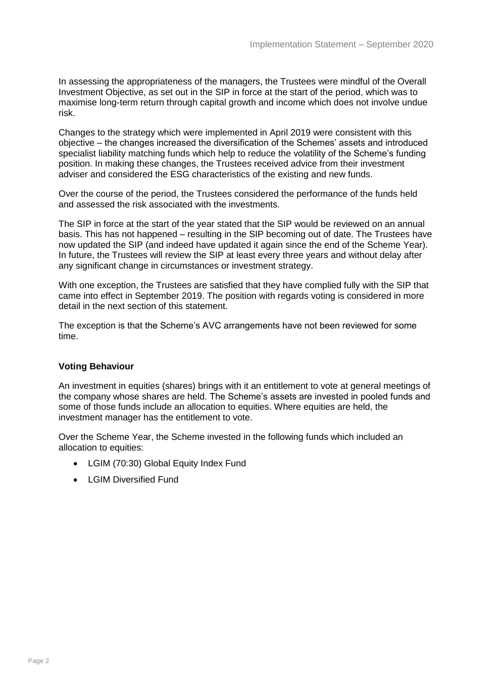In assessing the appropriateness of the managers, the Trustees were mindful of the Overall Investment Objective, as set out in the SIP in force at the start of the period, which was to maximise long-term return through capital growth and income which does not involve undue risk.

Changes to the strategy which were implemented in April 2019 were consistent with this objective – the changes increased the diversification of the Schemes' assets and introduced specialist liability matching funds which help to reduce the volatility of the Scheme's funding position. In making these changes, the Trustees received advice from their investment adviser and considered the ESG characteristics of the existing and new funds.

Over the course of the period, the Trustees considered the performance of the funds held and assessed the risk associated with the investments.

The SIP in force at the start of the year stated that the SIP would be reviewed on an annual basis. This has not happened – resulting in the SIP becoming out of date. The Trustees have now updated the SIP (and indeed have updated it again since the end of the Scheme Year). In future, the Trustees will review the SIP at least every three years and without delay after any significant change in circumstances or investment strategy.

With one exception, the Trustees are satisfied that they have complied fully with the SIP that came into effect in September 2019. The position with regards voting is considered in more detail in the next section of this statement.

The exception is that the Scheme's AVC arrangements have not been reviewed for some time.

# **Voting Behaviour**

An investment in equities (shares) brings with it an entitlement to vote at general meetings of the company whose shares are held. The Scheme's assets are invested in pooled funds and some of those funds include an allocation to equities. Where equities are held, the investment manager has the entitlement to vote.

Over the Scheme Year, the Scheme invested in the following funds which included an allocation to equities:

- LGIM (70:30) Global Equity Index Fund
- LGIM Diversified Fund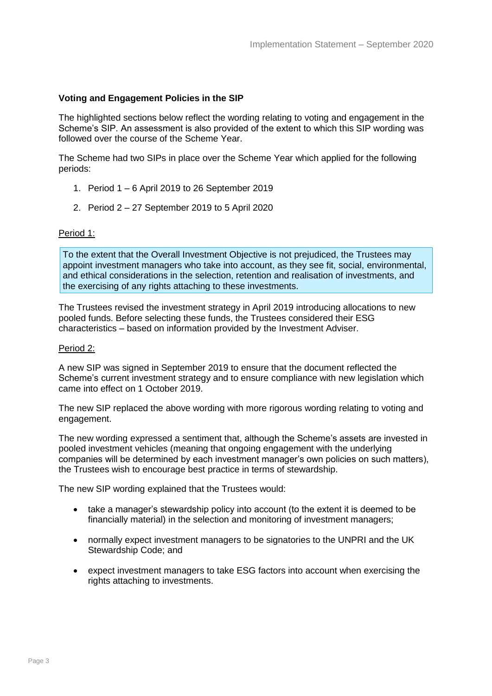### **Voting and Engagement Policies in the SIP**

The highlighted sections below reflect the wording relating to voting and engagement in the Scheme's SIP. An assessment is also provided of the extent to which this SIP wording was followed over the course of the Scheme Year.

The Scheme had two SIPs in place over the Scheme Year which applied for the following periods:

- 1. Period 1 6 April 2019 to 26 September 2019
- 2. Period 2 27 September 2019 to 5 April 2020

#### Period 1:

To the extent that the Overall Investment Objective is not prejudiced, the Trustees may appoint investment managers who take into account, as they see fit, social, environmental, and ethical considerations in the selection, retention and realisation of investments, and the exercising of any rights attaching to these investments.

The Trustees revised the investment strategy in April 2019 introducing allocations to new pooled funds. Before selecting these funds, the Trustees considered their ESG characteristics – based on information provided by the Investment Adviser.

#### Period 2:

A new SIP was signed in September 2019 to ensure that the document reflected the Scheme's current investment strategy and to ensure compliance with new legislation which came into effect on 1 October 2019.

The new SIP replaced the above wording with more rigorous wording relating to voting and engagement.

The new wording expressed a sentiment that, although the Scheme's assets are invested in pooled investment vehicles (meaning that ongoing engagement with the underlying companies will be determined by each investment manager's own policies on such matters), the Trustees wish to encourage best practice in terms of stewardship.

The new SIP wording explained that the Trustees would:

- take a manager's stewardship policy into account (to the extent it is deemed to be financially material) in the selection and monitoring of investment managers;
- normally expect investment managers to be signatories to the UNPRI and the UK Stewardship Code; and
- expect investment managers to take ESG factors into account when exercising the rights attaching to investments.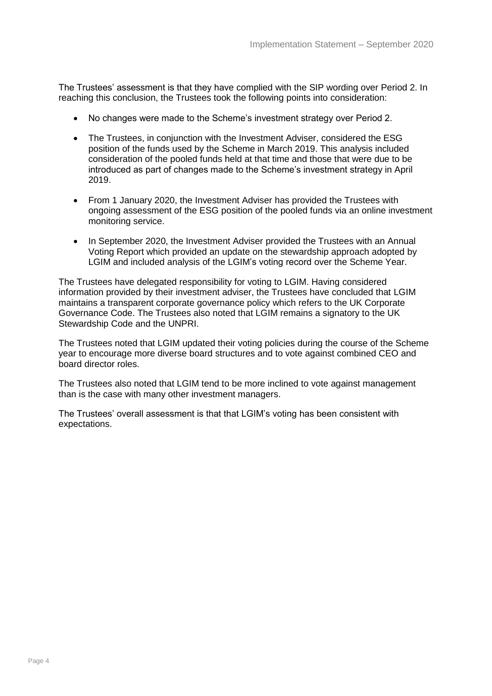The Trustees' assessment is that they have complied with the SIP wording over Period 2. In reaching this conclusion, the Trustees took the following points into consideration:

- No changes were made to the Scheme's investment strategy over Period 2.
- The Trustees, in conjunction with the Investment Adviser, considered the ESG position of the funds used by the Scheme in March 2019. This analysis included consideration of the pooled funds held at that time and those that were due to be introduced as part of changes made to the Scheme's investment strategy in April 2019.
- From 1 January 2020, the Investment Adviser has provided the Trustees with ongoing assessment of the ESG position of the pooled funds via an online investment monitoring service.
- In September 2020, the Investment Adviser provided the Trustees with an Annual Voting Report which provided an update on the stewardship approach adopted by LGIM and included analysis of the LGIM's voting record over the Scheme Year.

The Trustees have delegated responsibility for voting to LGIM. Having considered information provided by their investment adviser, the Trustees have concluded that LGIM maintains a transparent corporate governance policy which refers to the UK Corporate Governance Code. The Trustees also noted that LGIM remains a signatory to the UK Stewardship Code and the UNPRI.

The Trustees noted that LGIM updated their voting policies during the course of the Scheme year to encourage more diverse board structures and to vote against combined CEO and board director roles.

The Trustees also noted that LGIM tend to be more inclined to vote against management than is the case with many other investment managers.

The Trustees' overall assessment is that that LGIM's voting has been consistent with expectations.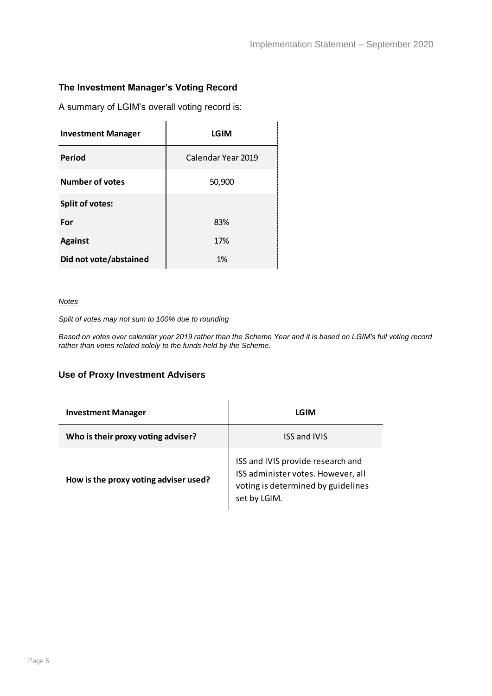# **The Investment Manager's Voting Record**

A summary of LGIM's overall voting record is:

| <b>Investment Manager</b> | LGIM               |
|---------------------------|--------------------|
| Period                    | Calendar Year 2019 |
| <b>Number of votes</b>    | 50,900             |
| <b>Split of votes:</b>    |                    |
| For                       | 83%                |
| <b>Against</b>            | 17%                |
| Did not vote/abstained    | 1%                 |

 $\overline{a}$ 

#### *Notes*

*Split of votes may not sum to 100% due to rounding*

*Based on votes over calendar year 2019 rather than the Scheme Year and it is based on LGIM's full voting record rather than votes related solely to the funds held by the Scheme.*

#### **Use of Proxy Investment Advisers**

| <b>Investment Manager</b>             | LGIM                                                                                                                          |  |  |  |
|---------------------------------------|-------------------------------------------------------------------------------------------------------------------------------|--|--|--|
| Who is their proxy voting adviser?    | <b>ISS and IVIS</b>                                                                                                           |  |  |  |
| How is the proxy voting adviser used? | ISS and IVIS provide research and<br>ISS administer votes. However, all<br>voting is determined by guidelines<br>set by LGIM. |  |  |  |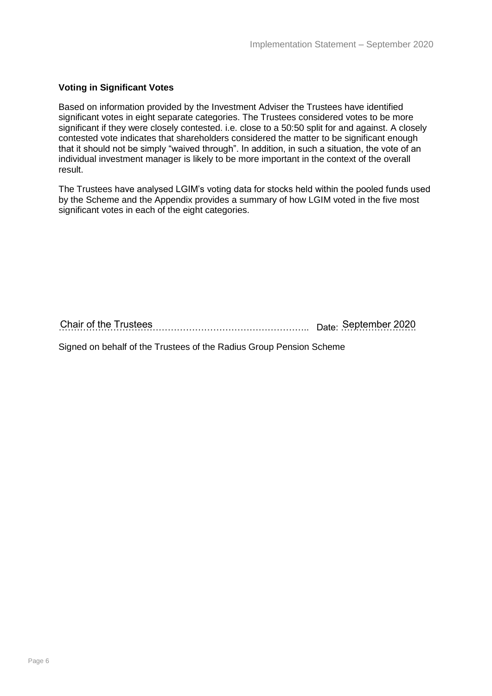# **Voting in Significant Votes**

Based on information provided by the Investment Adviser the Trustees have identified significant votes in eight separate categories. The Trustees considered votes to be more significant if they were closely contested. i.e. close to a 50:50 split for and against. A closely contested vote indicates that shareholders considered the matter to be significant enough that it should not be simply "waived through". In addition, in such a situation, the vote of an individual investment manager is likely to be more important in the context of the overall result.

The Trustees have analysed LGIM's voting data for stocks held within the pooled funds used by the Scheme and the Appendix provides a summary of how LGIM voted in the five most significant votes in each of the eight categories.

……………………………………………………………………….. Date: ……………………. Chair of the Trustees September 2020

Signed on behalf of the Trustees of the Radius Group Pension Scheme